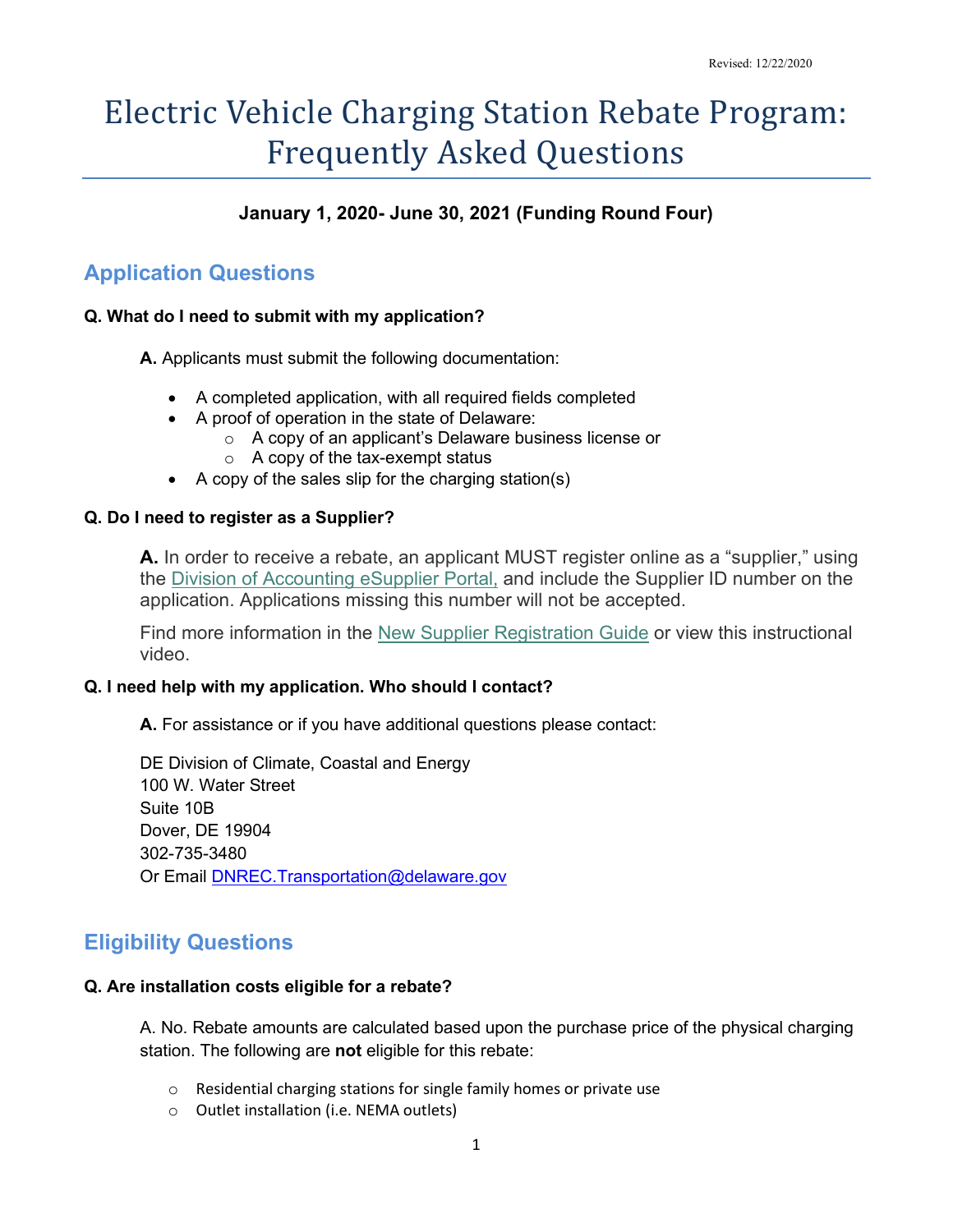# Electric Vehicle Charging Station Rebate Program: Frequently Asked Questions

## **January 1, 2020- June 30, 2021 (Funding Round Four)**

# **Application Questions**

## **Q. What do I need to submit with my application?**

**A.** Applicants must submit the following documentation:

- A completed application, with all required fields completed
- A proof of operation in the state of Delaware:
	- o A copy of an applicant's Delaware business license or
	- o A copy of the tax-exempt status
- A copy of the sales slip for the charging station(s)

## **Q. Do I need to register as a Supplier?**

**A.** In order to receive a rebate, an applicant MUST register online as a "supplier," using the [Division of Accounting eSupplier Portal,](https://accounting.delaware.gov/suppliers/) and include the Supplier ID number on the application. Applications missing this number will not be accepted.

Find more information in the [New Supplier Registration Guide](https://esupplier.erp.delaware.gov/fn92pdesup/help_guides/Supplier_New_Registration_Guide.pdf) or view this instructional video.

## **Q. I need help with my application. Who should I contact?**

**A.** For assistance or if you have additional questions please contact:

DE Division of Climate, Coastal and Energy 100 W. Water Street Suite 10B Dover, DE 19904 302-735-3480 Or Email DNREC. Transportation@delaware.gov

## **Eligibility Questions**

#### **Q. Are installation costs eligible for a rebate?**

A. No. Rebate amounts are calculated based upon the purchase price of the physical charging station. The following are **not** eligible for this rebate:

- o Residential charging stations for single family homes or private use
- o Outlet installation (i.e. NEMA outlets)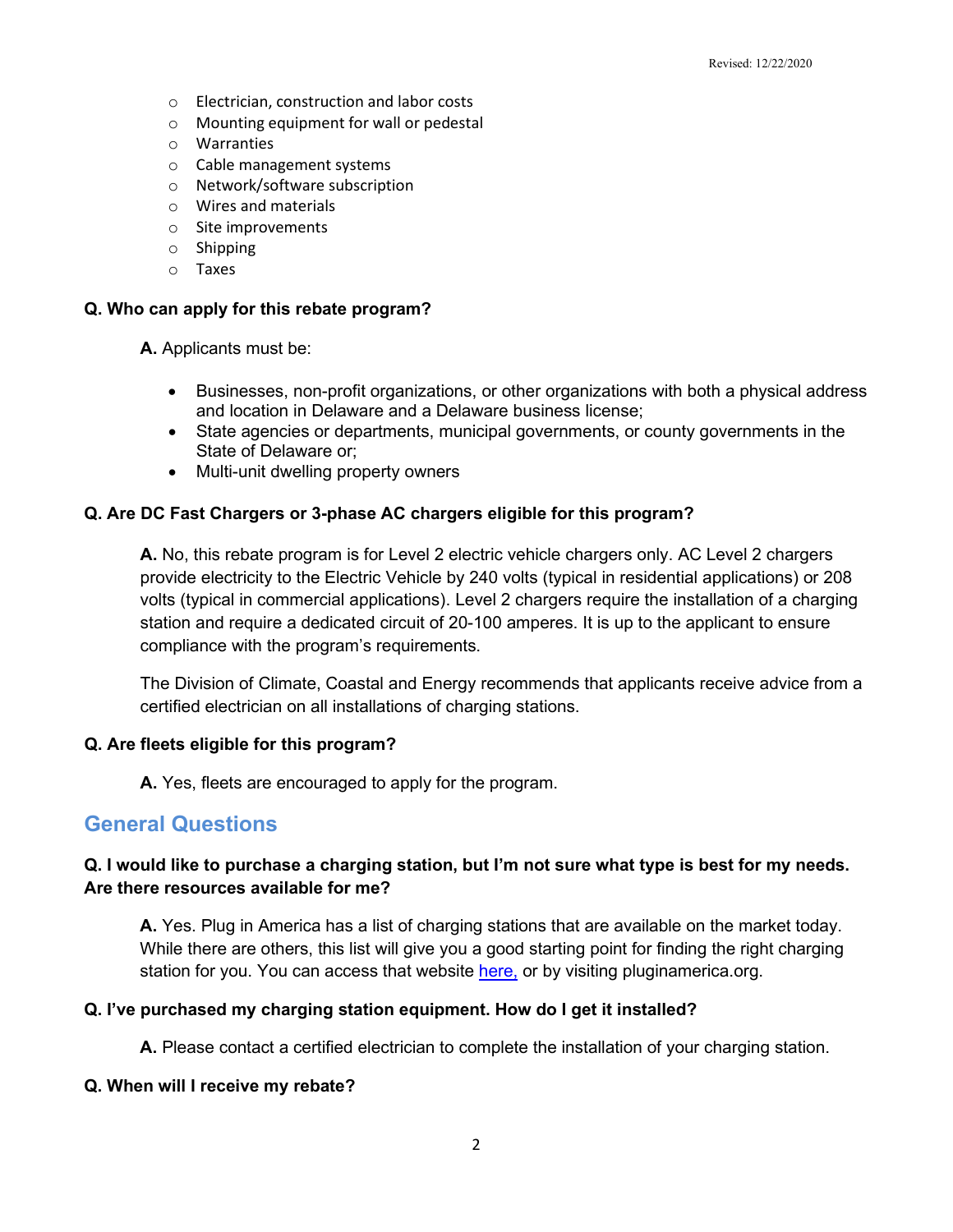- o Electrician, construction and labor costs
- o Mounting equipment for wall or pedestal
- o Warranties
- o Cable management systems
- o Network/software subscription
- o Wires and materials
- o Site improvements
- o Shipping
- o Taxes

#### **Q. Who can apply for this rebate program?**

**A.** Applicants must be:

- Businesses, non-profit organizations, or other organizations with both a physical address and location in Delaware and a Delaware business license;
- State agencies or departments, municipal governments, or county governments in the State of Delaware or;
- Multi-unit dwelling property owners

#### **Q. Are DC Fast Chargers or 3-phase AC chargers eligible for this program?**

**A.** No, this rebate program is for Level 2 electric vehicle chargers only. AC Level 2 chargers provide electricity to the Electric Vehicle by 240 volts (typical in residential applications) or 208 volts (typical in commercial applications). Level 2 chargers require the installation of a charging station and require a dedicated circuit of 20-100 amperes. It is up to the applicant to ensure compliance with the program's requirements.

The Division of Climate, Coastal and Energy recommends that applicants receive advice from a certified electrician on all installations of charging stations.

#### **Q. Are fleets eligible for this program?**

**A.** Yes, fleets are encouraged to apply for the program.

## **General Questions**

#### **Q. I would like to purchase a charging station, but I'm not sure what type is best for my needs. Are there resources available for me?**

**A.** Yes. Plug in America has a list of charging stations that are available on the market today. While there are others, this list will give you a good starting point for finding the right charging station for you. You can access that website [here,](http://www.pluginamerica.org/accessory-tracker?type=Charge+Station%2C+NEMA&level=All&nrtl=All) or by visiting pluginamerica.org.

#### **Q. I've purchased my charging station equipment. How do I get it installed?**

**A.** Please contact a certified electrician to complete the installation of your charging station.

#### **Q. When will I receive my rebate?**